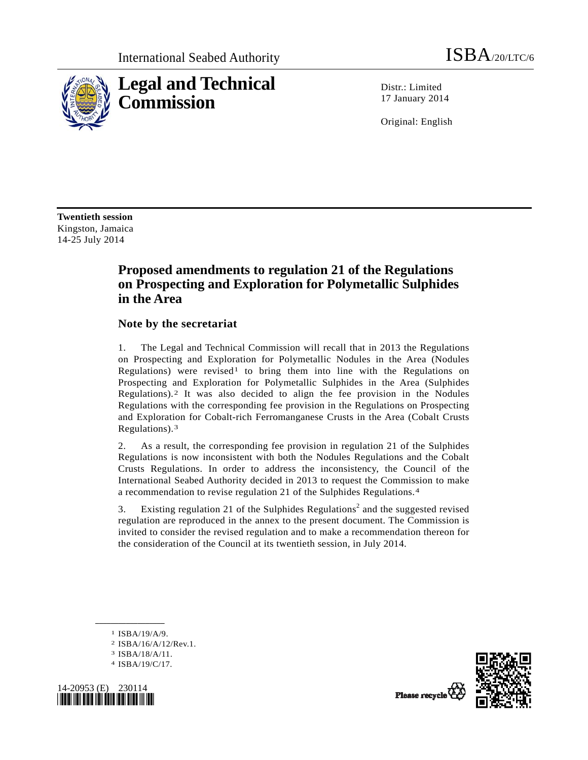

Distr · Limited 17 January 2014

Original: English

**Twentieth session**  Kingston, Jamaica 14-25 July 2014

# **Proposed amendments to regulation 21 of the Regulations on Prospecting and Exploration for Polymetallic Sulphides in the Area**

## **Note by the secretariat**

1. The Legal and Technical Commission will recall that in 2013 the Regulations on Prospecting and Exploration for Polymetallic Nodules in the Area (Nodules Regulations) were revised<sup>[1](#page-0-0)</sup> to bring them into line with the Regulations on Prospecting and Exploration for Polymetallic Sulphides in the Area (Sulphides Regulations).[2](#page-0-1) It was also decided to align the fee provision in the Nodules Regulations with the corresponding fee provision in the Regulations on Prospecting and Exploration for Cobalt-rich Ferromanganese Crusts in the Area (Cobalt Crusts Regulations).[3](#page-0-2)

2. As a result, the corresponding fee provision in regulation 21 of the Sulphides Regulations is now inconsistent with both the Nodules Regulations and the Cobalt Crusts Regulations. In order to address the inconsistency, the Council of the International Seabed Authority decided in 2013 to request the Commission to make a recommendation to revise regulation 21 of the Sulphides Regulations.[4](#page-0-3)

3. Existing regulation 21 of the Sulphides Regulations<sup>2</sup> and the suggested revised regulation are reproduced in the annex to the present document. The Commission is invited to consider the revised regulation and to make a recommendation thereon for the consideration of the Council at its twentieth session, in July 2014.

1 ISBA/19/A/9.

**\_\_\_\_\_\_\_\_\_\_\_\_\_\_\_\_\_\_** 

- 2 ISBA/16/A/12/Rev.1.
- 3 ISBA/18/A/11.
- 4 ISBA/19/C/17.

<span id="page-0-3"></span><span id="page-0-2"></span><span id="page-0-1"></span><span id="page-0-0"></span>



Please recycle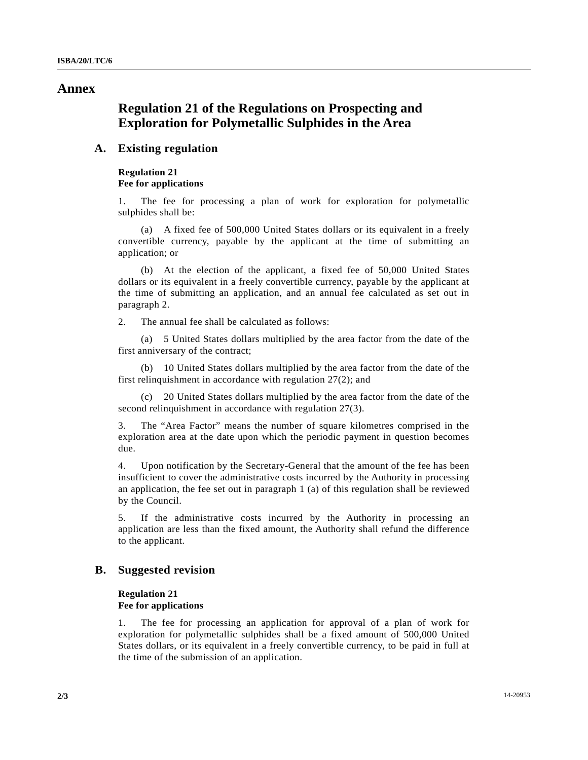## **Annex**

## **Regulation 21 of the Regulations on Prospecting and Exploration for Polymetallic Sulphides in the Area**

## **A. Existing regulation**

#### **Regulation 21 Fee for applications**

1. The fee for processing a plan of work for exploration for polymetallic sulphides shall be:

 (a) A fixed fee of 500,000 United States dollars or its equivalent in a freely convertible currency, payable by the applicant at the time of submitting an application; or

 (b) At the election of the applicant, a fixed fee of 50,000 United States dollars or its equivalent in a freely convertible currency, payable by the applicant at the time of submitting an application, and an annual fee calculated as set out in paragraph 2.

2. The annual fee shall be calculated as follows:

 (a) 5 United States dollars multiplied by the area factor from the date of the first anniversary of the contract;

 (b) 10 United States dollars multiplied by the area factor from the date of the first relinquishment in accordance with regulation 27(2); and

 (c) 20 United States dollars multiplied by the area factor from the date of the second relinquishment in accordance with regulation 27(3).

3. The "Area Factor" means the number of square kilometres comprised in the exploration area at the date upon which the periodic payment in question becomes due.

4. Upon notification by the Secretary-General that the amount of the fee has been insufficient to cover the administrative costs incurred by the Authority in processing an application, the fee set out in paragraph 1 (a) of this regulation shall be reviewed by the Council.

5. If the administrative costs incurred by the Authority in processing an application are less than the fixed amount, the Authority shall refund the difference to the applicant.

#### **B. Suggested revision**

#### **Regulation 21 Fee for applications**

1. The fee for processing an application for approval of a plan of work for exploration for polymetallic sulphides shall be a fixed amount of 500,000 United States dollars, or its equivalent in a freely convertible currency, to be paid in full at the time of the submission of an application.